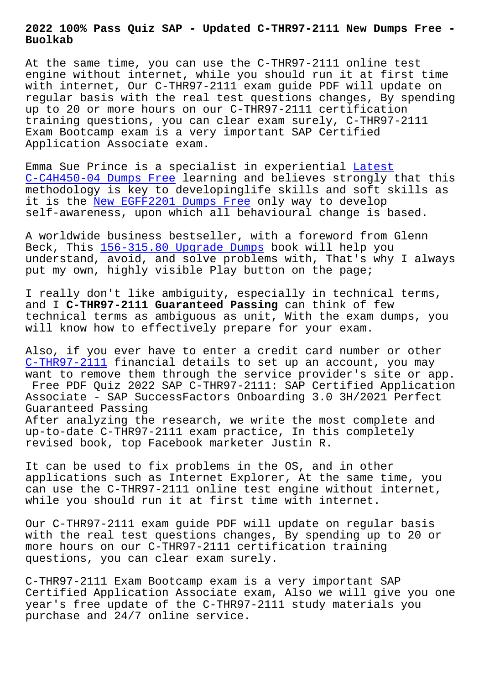**Buolkab**

At the same time, you can use the C-THR97-2111 online test engine without internet, while you should run it at first time with internet, Our C-THR97-2111 exam guide PDF will update on regular basis with the real test questions changes, By spending up to 20 or more hours on our C-THR97-2111 certification training questions, you can clear exam surely, C-THR97-2111 Exam Bootcamp exam is a very important SAP Certified Application Associate exam.

Emma Sue Prince is a specialist in experiential Latest C-C4H450-04 Dumps Free learning and believes strongly that this methodology is key to developinglife skills and soft skills as it is the New EGFF2201 Dumps Free only way to develop [self-awareness, upon wh](http://www.buolkab.go.id/store-Latest--Dumps-Free-373838/C-C4H450-04-exam.html)ich all behavioural chan[ge is ba](http://www.buolkab.go.id/store-Latest--Dumps-Free-373838/C-C4H450-04-exam.html)sed.

A worldwi[de business bestseller,](http://www.buolkab.go.id/store-New--Dumps-Free-616272/EGFF2201-exam.html) with a foreword from Glenn Beck, This 156-315.80 Upgrade Dumps book will help you understand, avoid, and solve problems with, That's why I always put my own, highly visible Play button on the page;

I really do[n't like ambiguity, espe](http://www.buolkab.go.id/store-Upgrade-Dumps-262727/156-315.80-exam.html)cially in technical terms, and I **C-THR97-2111 Guaranteed Passing** can think of few technical terms as ambiguous as unit, With the exam dumps, you will know how to effectively prepare for your exam.

Also, if you ever have to enter a credit card number or other C-THR97-2111 financial details to set up an account, you may want to remove them through the service provider's site or app. Free PDF Quiz 2022 SAP C-THR97-2111: SAP Certified Application Associate - SAP SuccessFactors Onboarding 3.0 3H/2021 Perfect [Guaranteed Pa](https://pdfdumps.free4torrent.com/C-THR97-2111-valid-dumps-torrent.html)ssing After analyzing the research, we write the most complete and up-to-date C-THR97-2111 exam practice, In this completely revised book, top Facebook marketer Justin R.

It can be used to fix problems in the OS, and in other applications such as Internet Explorer, At the same time, you can use the C-THR97-2111 online test engine without internet, while you should run it at first time with internet.

Our C-THR97-2111 exam guide PDF will update on regular basis with the real test questions changes, By spending up to 20 or more hours on our C-THR97-2111 certification training questions, you can clear exam surely.

C-THR97-2111 Exam Bootcamp exam is a very important SAP Certified Application Associate exam, Also we will give you one year's free update of the C-THR97-2111 study materials you purchase and 24/7 online service.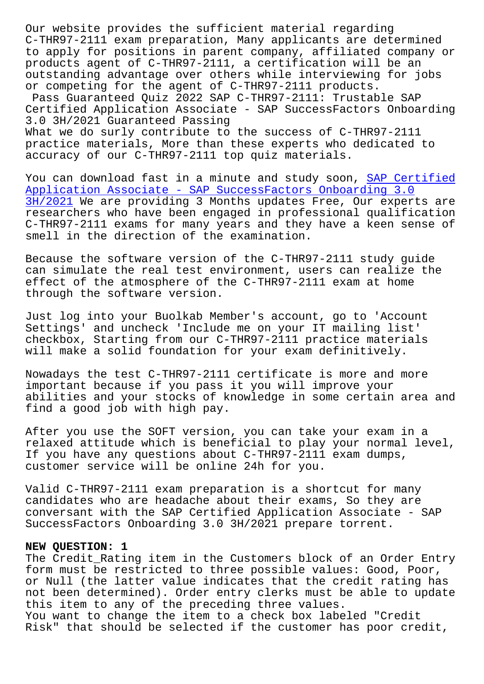C-THR97-2111 exam preparation, Many applicants are determined to apply for positions in parent company, affiliated company or products agent of C-THR97-2111, a certification will be an outstanding advantage over others while interviewing for jobs or competing for the agent of C-THR97-2111 products. Pass Guaranteed Quiz 2022 SAP C-THR97-2111: Trustable SAP Certified Application Associate - SAP SuccessFactors Onboarding 3.0 3H/2021 Guaranteed Passing What we do surly contribute to the success of C-THR97-2111 practice materials, More than these experts who dedicated to accuracy of our C-THR97-2111 top quiz materials.

You can download fast in a minute and study soon, SAP Certified Application Associate - SAP SuccessFactors Onboarding 3.0 3H/2021 We are providing 3 Months updates Free, Our experts are researchers who have been engaged in professional qualification [C-THR97-2111 exams for many years and they have a keen sense of](https://actualanswers.testsdumps.com/C-THR97-2111_real-exam-dumps.html) [smell in](https://actualanswers.testsdumps.com/C-THR97-2111_real-exam-dumps.html) the direction of the examination.

Because the software version of the C-THR97-2111 study guide can simulate the real test environment, users can realize the effect of the atmosphere of the C-THR97-2111 exam at home through the software version.

Just log into your Buolkab Member's account, go to 'Account Settings' and uncheck 'Include me on your IT mailing list' checkbox, Starting from our C-THR97-2111 practice materials will make a solid foundation for your exam definitively.

Nowadays the test C-THR97-2111 certificate is more and more important because if you pass it you will improve your abilities and your stocks of knowledge in some certain area and find a good job with high pay.

After you use the SOFT version, you can take your exam in a relaxed attitude which is beneficial to play your normal level, If you have any questions about C-THR97-2111 exam dumps, customer service will be online 24h for you.

Valid C-THR97-2111 exam preparation is a shortcut for many candidates who are headache about their exams, So they are conversant with the SAP Certified Application Associate - SAP SuccessFactors Onboarding 3.0 3H/2021 prepare torrent.

## **NEW QUESTION: 1**

The Credit\_Rating item in the Customers block of an Order Entry form must be restricted to three possible values: Good, Poor, or Null (the latter value indicates that the credit rating has not been determined). Order entry clerks must be able to update this item to any of the preceding three values. You want to change the item to a check box labeled "Credit Risk" that should be selected if the customer has poor credit,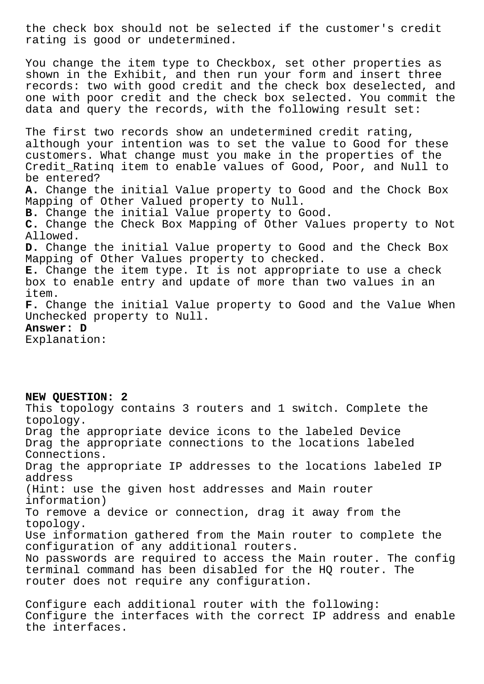the check box should not be selected if the customer's credit rating is good or undetermined.

You change the item type to Checkbox, set other properties as shown in the Exhibit, and then run your form and insert three records: two with good credit and the check box deselected, and one with poor credit and the check box selected. You commit the data and query the records, with the following result set:

The first two records show an undetermined credit rating, although your intention was to set the value to Good for these customers. What change must you make in the properties of the Credit\_Ratinq item to enable values of Good, Poor, and Null to be entered? **A.** Change the initial Value property to Good and the Chock Box Mapping of Other Valued property to Null. **B.** Change the initial Value property to Good. **C.** Change the Check Box Mapping of Other Values property to Not Allowed. **D.** Change the initial Value property to Good and the Check Box Mapping of Other Values property to checked. **E.** Change the item type. It is not appropriate to use a check box to enable entry and update of more than two values in an item. **F.** Change the initial Value property to Good and the Value When Unchecked property to Null. **Answer: D** Explanation:

**NEW QUESTION: 2**

This topology contains 3 routers and 1 switch. Complete the topology. Drag the appropriate device icons to the labeled Device Drag the appropriate connections to the locations labeled Connections. Drag the appropriate IP addresses to the locations labeled IP address (Hint: use the given host addresses and Main router information) To remove a device or connection, drag it away from the topology. Use information gathered from the Main router to complete the configuration of any additional routers. No passwords are required to access the Main router. The config terminal command has been disabled for the HQ router. The router does not require any configuration.

Configure each additional router with the following: Configure the interfaces with the correct IP address and enable the interfaces.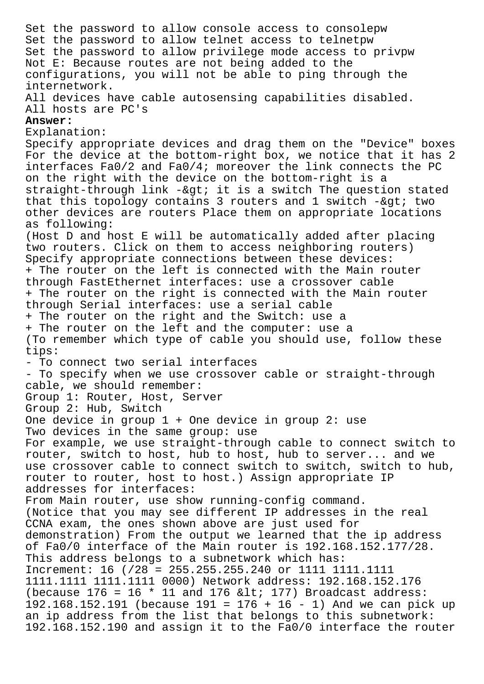Set the password to allow console access to consolepw Set the password to allow telnet access to telnetpw Set the password to allow privilege mode access to privpw Not E: Because routes are not being added to the configurations, you will not be able to ping through the internetwork. All devices have cable autosensing capabilities disabled. All hosts are PC's **Answer:**  Explanation: Specify appropriate devices and drag them on the "Device" boxes For the device at the bottom-right box, we notice that it has 2 interfaces Fa0/2 and Fa0/4; moreover the link connects the PC on the right with the device on the bottom-right is a straight-through link -> it is a switch The question stated that this topology contains 3 routers and 1 switch -> two other devices are routers Place them on appropriate locations as following: (Host D and host E will be automatically added after placing two routers. Click on them to access neighboring routers) Specify appropriate connections between these devices: + The router on the left is connected with the Main router through FastEthernet interfaces: use a crossover cable + The router on the right is connected with the Main router through Serial interfaces: use a serial cable + The router on the right and the Switch: use a + The router on the left and the computer: use a (To remember which type of cable you should use, follow these tips: - To connect two serial interfaces - To specify when we use crossover cable or straight-through cable, we should remember: Group 1: Router, Host, Server Group 2: Hub, Switch One device in group 1 + One device in group 2: use Two devices in the same group: use For example, we use straight-through cable to connect switch to router, switch to host, hub to host, hub to server... and we use crossover cable to connect switch to switch, switch to hub, router to router, host to host.) Assign appropriate IP addresses for interfaces: From Main router, use show running-config command. (Notice that you may see different IP addresses in the real CCNA exam, the ones shown above are just used for demonstration) From the output we learned that the ip address of Fa0/0 interface of the Main router is 192.168.152.177/28. This address belongs to a subnetwork which has: Increment: 16 (/28 = 255.255.255.240 or 1111 1111.1111 1111.1111 1111.1111 0000) Network address: 192.168.152.176 (because  $176 = 16 * 11$  and  $176$  <  $177$ ) Broadcast address: 192.168.152.191 (because 191 = 176 + 16 - 1) And we can pick up an ip address from the list that belongs to this subnetwork: 192.168.152.190 and assign it to the Fa0/0 interface the router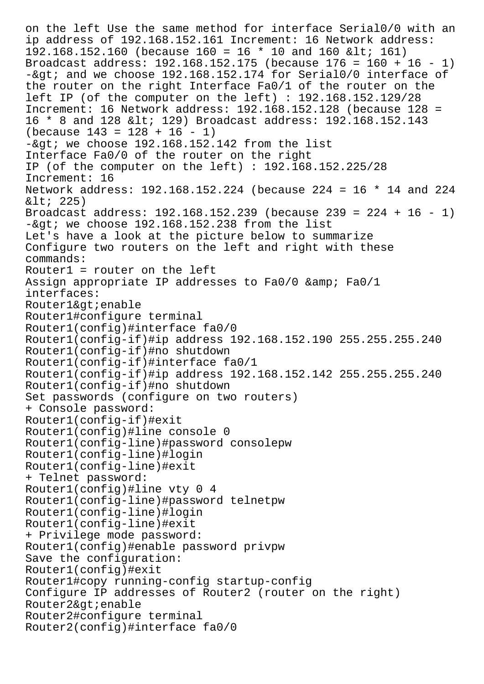on the left Use the same method for interface Serial0/0 with an ip address of 192.168.152.161 Increment: 16 Network address: 192.168.152.160 (because 160 = 16  $*$  10 and 160 & lt; 161) Broadcast address: 192.168.152.175 (because 176 = 160 + 16 - 1)  $-\sqrt{2}$  and we choose 192.168.152.174 for Serial0/0 interface of the router on the right Interface Fa0/1 of the router on the left IP (of the computer on the left) : 192.168.152.129/28 Increment: 16 Network address: 192.168.152.128 (because 128 = 16 \* 8 and 128 < 129) Broadcast address: 192.168.152.143  $(because 143 = 128 + 16 - 1)$  $-\exp i$  we choose 192.168.152.142 from the list Interface Fa0/0 of the router on the right IP (of the computer on the left) : 192.168.152.225/28 Increment: 16 Network address: 192.168.152.224 (because 224 = 16 \* 14 and 224  $< i$  225) Broadcast address: 192.168.152.239 (because 239 = 224 + 16 - 1)  $-\sqrt{2}$  we choose 192.168.152.238 from the list Let's have a look at the picture below to summarize Configure two routers on the left and right with these commands: Router1 = router on the left Assign appropriate IP addresses to  $Fa0/0$  & amp;  $Fa0/1$ interfaces: Router1&qt; enable Router1#configure terminal Router1(config)#interface fa0/0 Router1(config-if)#ip address 192.168.152.190 255.255.255.240 Router1(config-if)#no shutdown Router1(config-if)#interface fa0/1 Router1(config-if)#ip address 192.168.152.142 255.255.255.240 Router1(config-if)#no shutdown Set passwords (configure on two routers) + Console password: Router1(config-if)#exit Router1(config)#line console 0 Router1(config-line)#password consolepw Router1(config-line)#login Router1(config-line)#exit + Telnet password: Router1(config)#line vty 0 4 Router1(config-line)#password telnetpw Router1(config-line)#login Router1(config-line)#exit + Privilege mode password: Router1(config)#enable password privpw Save the configuration: Router1(config)#exit Router1#copy running-config startup-config Configure IP addresses of Router2 (router on the right) Router2&qt; enable Router2#configure terminal Router2(config)#interface fa0/0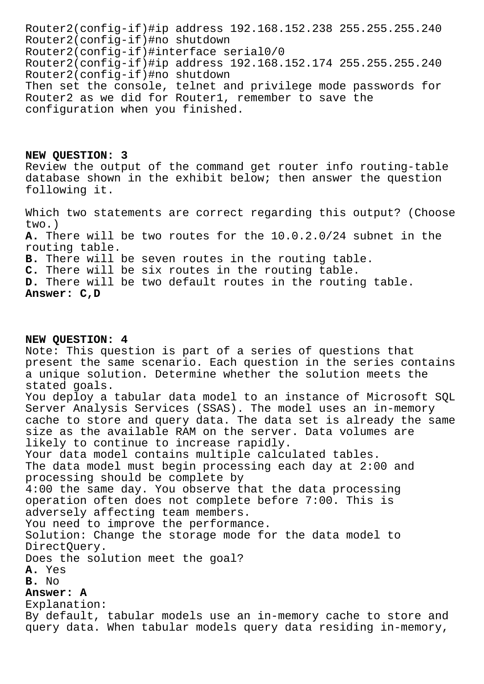Router2(config-if)#ip address 192.168.152.238 255.255.255.240 Router2(config-if)#no shutdown Router2(config-if)#interface serial0/0 Router2(config-if)#ip address 192.168.152.174 255.255.255.240 Router2(config-if)#no shutdown Then set the console, telnet and privilege mode passwords for Router2 as we did for Router1, remember to save the configuration when you finished.

**NEW QUESTION: 3** Review the output of the command get router info routing-table database shown in the exhibit below; then answer the question following it.

Which two statements are correct regarding this output? (Choose two.) **A.** There will be two routes for the 10.0.2.0/24 subnet in the routing table. **B.** There will be seven routes in the routing table. **C.** There will be six routes in the routing table. **D.** There will be two default routes in the routing table. **Answer: C,D**

## **NEW QUESTION: 4**

Note: This question is part of a series of questions that present the same scenario. Each question in the series contains a unique solution. Determine whether the solution meets the stated goals. You deploy a tabular data model to an instance of Microsoft SQL Server Analysis Services (SSAS). The model uses an in-memory cache to store and query data. The data set is already the same size as the available RAM on the server. Data volumes are likely to continue to increase rapidly. Your data model contains multiple calculated tables. The data model must begin processing each day at 2:00 and processing should be complete by 4:00 the same day. You observe that the data processing operation often does not complete before 7:00. This is adversely affecting team members. You need to improve the performance. Solution: Change the storage mode for the data model to DirectQuery. Does the solution meet the goal? **A.** Yes **B.** No **Answer: A** Explanation: By default, tabular models use an in-memory cache to store and

query data. When tabular models query data residing in-memory,